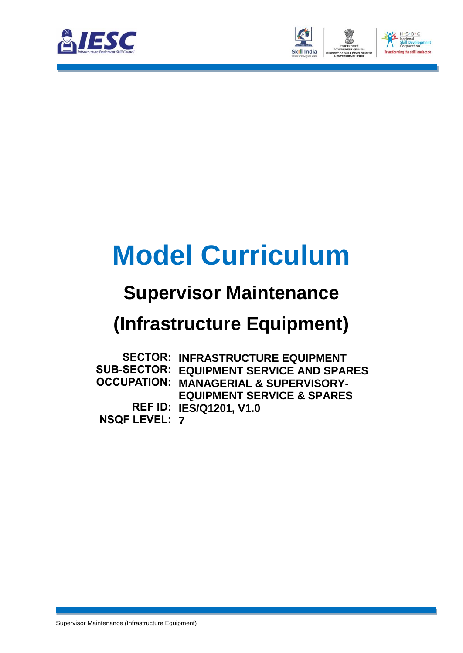



# **Model Curriculum**

### **Supervisor Maintenance**

## **(Infrastructure Equipment)**

**SECTOR: INFRASTRUCTURE EQUIPMENT SUB-SECTOR: EQUIPMENT SERVICE AND SPARES OCCUPATION: MANAGERIAL & SUPERVISORY-REF ID: IES/Q1201, V1.0 NSQF LEVEL: 7EQUIPMENT SERVICE & SPARES**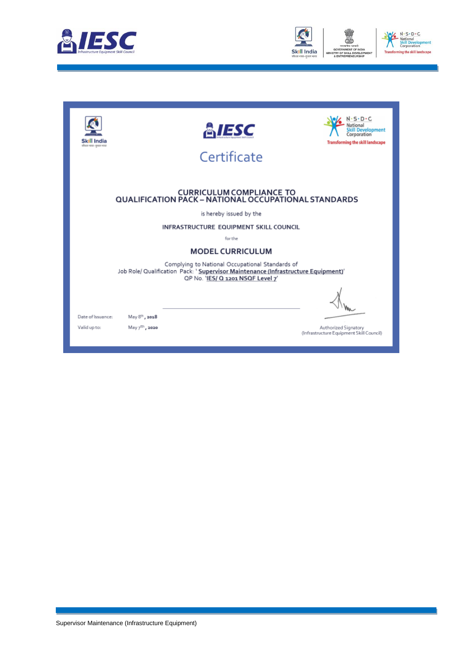



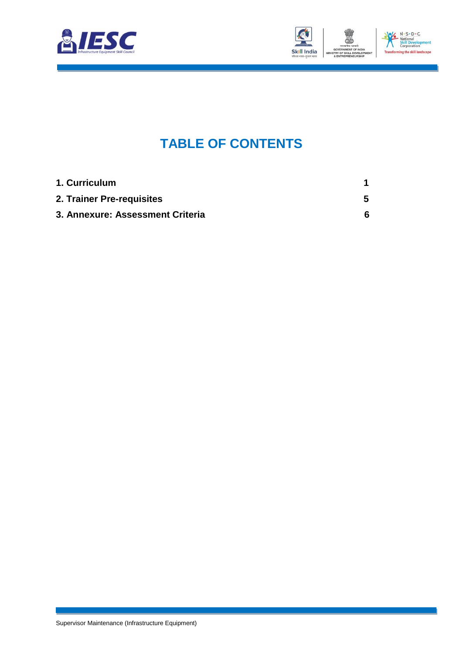



### **TABLE OF CONTENTS**

| 1. Curriculum                    |   |
|----------------------------------|---|
| 2. Trainer Pre-requisites        |   |
| 3. Annexure: Assessment Criteria | 6 |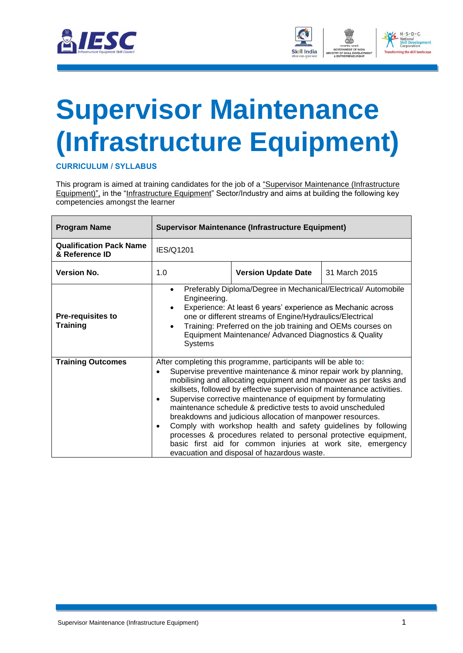



## <span id="page-3-0"></span>**Supervisor Maintenance (Infrastructure Equipment)**

**CURRICULUM / SYLLABUS**

This program is aimed at training candidates for the job of a "Supervisor Maintenance (Infrastructure Equipment)", in the "Infrastructure Equipment" Sector/Industry and aims at building the following key competencies amongst the learner

| <b>Program Name</b>                              | <b>Supervisor Maintenance (Infrastructure Equipment)</b>                                                                                                                                                                                                                                                                                                                                                                                                                                                                                                                                                                                                                                                                                                                     |                            |               |  |  |
|--------------------------------------------------|------------------------------------------------------------------------------------------------------------------------------------------------------------------------------------------------------------------------------------------------------------------------------------------------------------------------------------------------------------------------------------------------------------------------------------------------------------------------------------------------------------------------------------------------------------------------------------------------------------------------------------------------------------------------------------------------------------------------------------------------------------------------------|----------------------------|---------------|--|--|
| <b>Qualification Pack Name</b><br>& Reference ID | IES/Q1201                                                                                                                                                                                                                                                                                                                                                                                                                                                                                                                                                                                                                                                                                                                                                                    |                            |               |  |  |
| <b>Version No.</b>                               | 1.0                                                                                                                                                                                                                                                                                                                                                                                                                                                                                                                                                                                                                                                                                                                                                                          | <b>Version Update Date</b> | 31 March 2015 |  |  |
| <b>Pre-requisites to</b><br><b>Training</b>      | Preferably Diploma/Degree in Mechanical/Electrical/Automobile<br>$\bullet$<br>Engineering.<br>Experience: At least 6 years' experience as Mechanic across<br>one or different streams of Engine/Hydraulics/Electrical<br>Training: Preferred on the job training and OEMs courses on<br>$\bullet$<br>Equipment Maintenance/ Advanced Diagnostics & Quality<br><b>Systems</b>                                                                                                                                                                                                                                                                                                                                                                                                 |                            |               |  |  |
| <b>Training Outcomes</b>                         | After completing this programme, participants will be able to:<br>Supervise preventive maintenance & minor repair work by planning,<br>$\bullet$<br>mobilising and allocating equipment and manpower as per tasks and<br>skillsets, followed by effective supervision of maintenance activities.<br>Supervise corrective maintenance of equipment by formulating<br>$\bullet$<br>maintenance schedule & predictive tests to avoid unscheduled<br>breakdowns and judicious allocation of manpower resources.<br>Comply with workshop health and safety guidelines by following<br>$\bullet$<br>processes & procedures related to personal protective equipment,<br>basic first aid for common injuries at work site, emergency<br>evacuation and disposal of hazardous waste. |                            |               |  |  |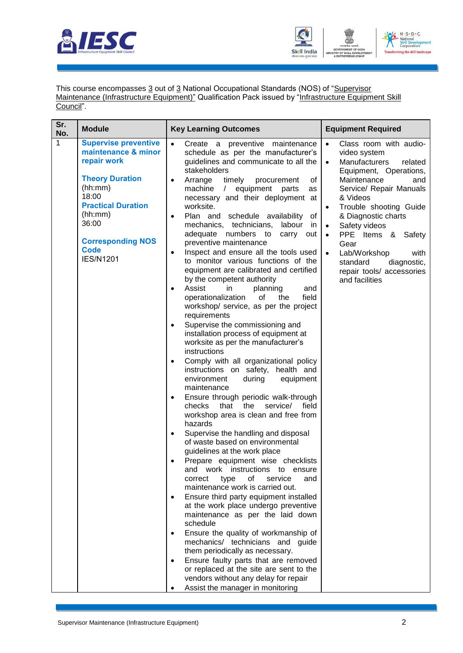



This course encompasses 3 out of 3 National Occupational Standards (NOS) of "Supervisor Maintenance (Infrastructure Equipment)" Qualification Pack issued by "Infrastructure Equipment Skill <u>Council</u>".

| Sr.<br>No.   | <b>Module</b>                                                                                                                                                                                                                   | <b>Key Learning Outcomes</b>                                                                                                                                                                                                                                                                                                                                                                                                                                                                                                                                                                                                                                                                                                                                                                                                                                                                                                                                                                                                                                                                                                                                                                                                                                                                                                                                                                                                                                                                                                                                                                                                                                                                                                                                                                                                                                                                                                                                         | <b>Equipment Required</b>                                                                                                                                                                                                                                                                                                                                                                                                                 |
|--------------|---------------------------------------------------------------------------------------------------------------------------------------------------------------------------------------------------------------------------------|----------------------------------------------------------------------------------------------------------------------------------------------------------------------------------------------------------------------------------------------------------------------------------------------------------------------------------------------------------------------------------------------------------------------------------------------------------------------------------------------------------------------------------------------------------------------------------------------------------------------------------------------------------------------------------------------------------------------------------------------------------------------------------------------------------------------------------------------------------------------------------------------------------------------------------------------------------------------------------------------------------------------------------------------------------------------------------------------------------------------------------------------------------------------------------------------------------------------------------------------------------------------------------------------------------------------------------------------------------------------------------------------------------------------------------------------------------------------------------------------------------------------------------------------------------------------------------------------------------------------------------------------------------------------------------------------------------------------------------------------------------------------------------------------------------------------------------------------------------------------------------------------------------------------------------------------------------------------|-------------------------------------------------------------------------------------------------------------------------------------------------------------------------------------------------------------------------------------------------------------------------------------------------------------------------------------------------------------------------------------------------------------------------------------------|
| $\mathbf{1}$ | <b>Supervise preventive</b><br>maintenance & minor<br>repair work<br><b>Theory Duration</b><br>(hh:mm)<br>18:00<br><b>Practical Duration</b><br>(hh:mm)<br>36:00<br><b>Corresponding NOS</b><br><b>Code</b><br><b>IES/N1201</b> | Create a preventive maintenance<br>$\bullet$<br>schedule as per the manufacturer's<br>guidelines and communicate to all the<br>stakeholders<br>Arrange<br>timely<br>procurement<br>οf<br>$\bullet$<br>machine<br>/ equipment parts<br>as<br>necessary and their deployment at<br>worksite.<br>Plan and schedule availability<br>of<br>$\bullet$<br>mechanics, technicians, labour in<br>adequate numbers to<br>carry out<br>preventive maintenance<br>Inspect and ensure all the tools used<br>$\bullet$<br>to monitor various functions of the<br>equipment are calibrated and certified<br>by the competent authority<br>Assist<br>in<br>planning<br>and<br>$\bullet$<br>operationalization<br>of<br>field<br>the<br>workshop/ service, as per the project<br>requirements<br>Supervise the commissioning and<br>$\bullet$<br>installation process of equipment at<br>worksite as per the manufacturer's<br>instructions<br>Comply with all organizational policy<br>٠<br>instructions on safety, health and<br>environment<br>during<br>equipment<br>maintenance<br>Ensure through periodic walk-through<br>$\bullet$<br>that<br>the<br>service/<br>field<br>checks<br>workshop area is clean and free from<br>hazards<br>Supervise the handling and disposal<br>$\bullet$<br>of waste based on environmental<br>guidelines at the work place<br>Prepare equipment wise checklists<br>$\bullet$<br>instructions to<br>work<br>and<br>ensure<br>оf<br>service<br>correct<br>type<br>and<br>maintenance work is carried out.<br>Ensure third party equipment installed<br>$\bullet$<br>at the work place undergo preventive<br>maintenance as per the laid down<br>schedule<br>Ensure the quality of workmanship of<br>٠<br>mechanics/ technicians and guide<br>them periodically as necessary.<br>Ensure faulty parts that are removed<br>٠<br>or replaced at the site are sent to the<br>vendors without any delay for repair<br>Assist the manager in monitoring | Class room with audio-<br>$\bullet$<br>video system<br>Manufacturers<br>related<br>$\bullet$<br>Equipment, Operations,<br>Maintenance<br>and<br>Service/ Repair Manuals<br>& Videos<br>Trouble shooting Guide<br>$\bullet$<br>& Diagnostic charts<br>Safety videos<br>$\bullet$<br>PPE Items & Safety<br>$\bullet$<br>Gear<br>Lab/Workshop<br>with<br>$\bullet$<br>diagnostic,<br>standard<br>repair tools/ accessories<br>and facilities |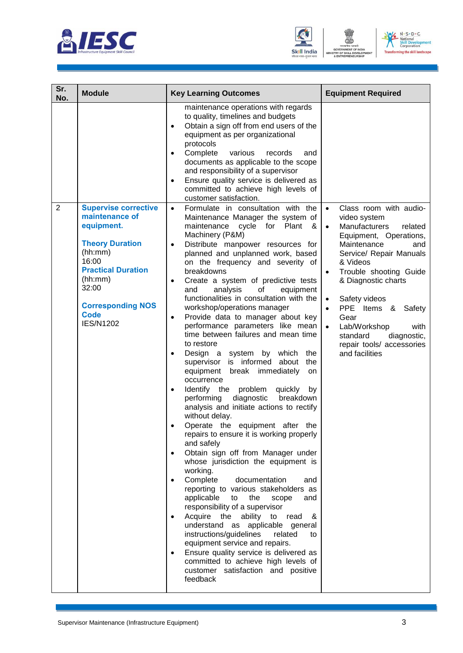





| Sr.<br>No.     | <b>Module</b>                                                                                                                                                                                                             | <b>Key Learning Outcomes</b>                                                                                                                                                                                                                                                                                                                                                                                                                                                                                                                                                                                                                                                                                                                                                                                                                                                                                                                                                                                                                                                                                                                                                                                                                                                                                                                                                                           | <b>Equipment Required</b>                                                                                                                                                                                                                                                                                                                                                                                                    |
|----------------|---------------------------------------------------------------------------------------------------------------------------------------------------------------------------------------------------------------------------|--------------------------------------------------------------------------------------------------------------------------------------------------------------------------------------------------------------------------------------------------------------------------------------------------------------------------------------------------------------------------------------------------------------------------------------------------------------------------------------------------------------------------------------------------------------------------------------------------------------------------------------------------------------------------------------------------------------------------------------------------------------------------------------------------------------------------------------------------------------------------------------------------------------------------------------------------------------------------------------------------------------------------------------------------------------------------------------------------------------------------------------------------------------------------------------------------------------------------------------------------------------------------------------------------------------------------------------------------------------------------------------------------------|------------------------------------------------------------------------------------------------------------------------------------------------------------------------------------------------------------------------------------------------------------------------------------------------------------------------------------------------------------------------------------------------------------------------------|
| $\overline{2}$ | <b>Supervise corrective</b><br>maintenance of<br>equipment.<br><b>Theory Duration</b><br>(hh:mm)<br>16:00<br><b>Practical Duration</b><br>(hh:mm)<br>32:00<br><b>Corresponding NOS</b><br><b>Code</b><br><b>IES/N1202</b> | maintenance operations with regards<br>to quality, timelines and budgets<br>Obtain a sign off from end users of the<br>$\bullet$<br>equipment as per organizational<br>protocols<br>Complete<br>various<br>records<br>and<br>$\bullet$<br>documents as applicable to the scope<br>and responsibility of a supervisor<br>Ensure quality service is delivered as<br>committed to achieve high levels of<br>customer satisfaction.<br>Formulate in consultation with the<br>$\bullet$<br>Maintenance Manager the system of<br>maintenance cycle for<br>Plant &<br>Machinery (P&M)<br>Distribute manpower resources for<br>$\bullet$<br>planned and unplanned work, based<br>on the frequency and severity of<br>breakdowns<br>Create a system of predictive tests<br>$\bullet$<br>analysis<br>of<br>and<br>equipment<br>functionalities in consultation with the<br>workshop/operations manager<br>Provide data to manager about key<br>$\bullet$<br>performance parameters like mean<br>time between failures and mean time<br>to restore<br>Design a system by which<br>the<br>supervisor is informed about<br>the<br>equipment break immediately<br>on<br>occurrence<br>Identify the<br>problem<br>quickly<br>by<br>performing<br>diagnostic<br>breakdown<br>analysis and initiate actions to rectify<br>without delay.<br>Operate the equipment after the<br>repairs to ensure it is working properly | Class room with audio-<br>$\bullet$<br>video system<br>Manufacturers<br>related<br>$\bullet$<br>Equipment, Operations,<br>Maintenance<br>and<br>Service/ Repair Manuals<br>& Videos<br>Trouble shooting Guide<br>& Diagnostic charts<br>Safety videos<br>$\bullet$<br>PPE Items & Safety<br>$\bullet$<br>Gear<br>Lab/Workshop<br>$\bullet$<br>with<br>standard<br>diagnostic,<br>repair tools/ accessories<br>and facilities |
|                |                                                                                                                                                                                                                           | and safely<br>Obtain sign off from Manager under<br>whose jurisdiction the equipment is<br>working.<br>Complete<br>documentation<br>and<br>reporting to various stakeholders as<br>applicable<br>the<br>to<br>scope<br>and<br>responsibility of a supervisor<br>Acquire the<br>ability<br>to read<br>&<br>understand as applicable general<br>instructions/guidelines<br>related<br>to<br>equipment service and repairs.<br>Ensure quality service is delivered as<br>committed to achieve high levels of<br>customer satisfaction and positive<br>feedback                                                                                                                                                                                                                                                                                                                                                                                                                                                                                                                                                                                                                                                                                                                                                                                                                                            |                                                                                                                                                                                                                                                                                                                                                                                                                              |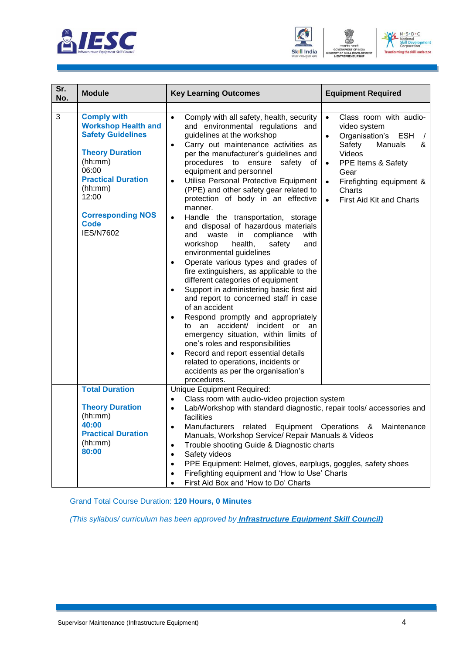





| Sr.<br>No.   | <b>Module</b>                                                                                                                                                                                                                              | <b>Key Learning Outcomes</b>                                                                                                                                                                                                                                                                                                                                                                                                                                                                                                                                                                                                                                                                                                                                                                                                                                                                                                                                                                                                                                                                                                                                                                                  | <b>Equipment Required</b>                                                                                                                                                                                                                                                               |  |  |
|--------------|--------------------------------------------------------------------------------------------------------------------------------------------------------------------------------------------------------------------------------------------|---------------------------------------------------------------------------------------------------------------------------------------------------------------------------------------------------------------------------------------------------------------------------------------------------------------------------------------------------------------------------------------------------------------------------------------------------------------------------------------------------------------------------------------------------------------------------------------------------------------------------------------------------------------------------------------------------------------------------------------------------------------------------------------------------------------------------------------------------------------------------------------------------------------------------------------------------------------------------------------------------------------------------------------------------------------------------------------------------------------------------------------------------------------------------------------------------------------|-----------------------------------------------------------------------------------------------------------------------------------------------------------------------------------------------------------------------------------------------------------------------------------------|--|--|
|              |                                                                                                                                                                                                                                            |                                                                                                                                                                                                                                                                                                                                                                                                                                                                                                                                                                                                                                                                                                                                                                                                                                                                                                                                                                                                                                                                                                                                                                                                               |                                                                                                                                                                                                                                                                                         |  |  |
| $\mathbf{3}$ | <b>Comply with</b><br><b>Workshop Health and</b><br><b>Safety Guidelines</b><br><b>Theory Duration</b><br>(hh:mm)<br>06:00<br><b>Practical Duration</b><br>(hh:mm)<br>12:00<br><b>Corresponding NOS</b><br><b>Code</b><br><b>IES/N7602</b> | Comply with all safety, health, security<br>$\bullet$<br>and environmental regulations and<br>guidelines at the workshop<br>Carry out maintenance activities as<br>$\bullet$<br>per the manufacturer's guidelines and<br>procedures to ensure safety of<br>equipment and personnel<br>Utilise Personal Protective Equipment<br>$\bullet$<br>(PPE) and other safety gear related to<br>protection of body in an effective<br>manner.<br>Handle the transportation, storage<br>$\bullet$<br>and disposal of hazardous materials<br>compliance<br>with<br>and<br>waste<br>in<br>workshop<br>health,<br>safety<br>and<br>environmental guidelines<br>Operate various types and grades of<br>$\bullet$<br>fire extinguishers, as applicable to the<br>different categories of equipment<br>Support in administering basic first aid<br>$\bullet$<br>and report to concerned staff in case<br>of an accident<br>Respond promptly and appropriately<br>$\bullet$<br>to an accident/ incident or<br>an<br>emergency situation, within limits of<br>one's roles and responsibilities<br>Record and report essential details<br>$\bullet$<br>related to operations, incidents or<br>accidents as per the organisation's | Class room with audio-<br>$\bullet$<br>video system<br>Organisation's<br><b>ESH</b><br>$\bullet$<br>$\prime$<br>Safety<br>Manuals<br>&<br>Videos<br>PPE Items & Safety<br>$\bullet$<br>Gear<br>Firefighting equipment &<br>$\bullet$<br>Charts<br>$\bullet$<br>First Aid Kit and Charts |  |  |
|              |                                                                                                                                                                                                                                            | procedures.                                                                                                                                                                                                                                                                                                                                                                                                                                                                                                                                                                                                                                                                                                                                                                                                                                                                                                                                                                                                                                                                                                                                                                                                   |                                                                                                                                                                                                                                                                                         |  |  |
|              | <b>Total Duration</b><br><b>Theory Duration</b><br>(hh:mm)<br>40:00<br><b>Practical Duration</b><br>(hh:mm)<br>80:00                                                                                                                       | Unique Equipment Required:<br>Class room with audio-video projection system<br>$\bullet$<br>$\bullet$<br>facilities<br>Manufacturers related<br>$\bullet$<br>Manuals, Workshop Service/ Repair Manuals & Videos<br>Trouble shooting Guide & Diagnostic charts<br>$\bullet$<br>Safety videos<br>$\bullet$<br>$\bullet$<br>Firefighting equipment and 'How to Use' Charts<br>$\bullet$<br>First Aid Box and 'How to Do' Charts                                                                                                                                                                                                                                                                                                                                                                                                                                                                                                                                                                                                                                                                                                                                                                                  | Lab/Workshop with standard diagnostic, repair tools/ accessories and<br>Equipment Operations &<br>Maintenance<br>PPE Equipment: Helmet, gloves, earplugs, goggles, safety shoes                                                                                                         |  |  |

Grand Total Course Duration: **120 Hours, 0 Minutes**

*(This syllabus/ curriculum has been approved by Infrastructure Equipment Skill Council)*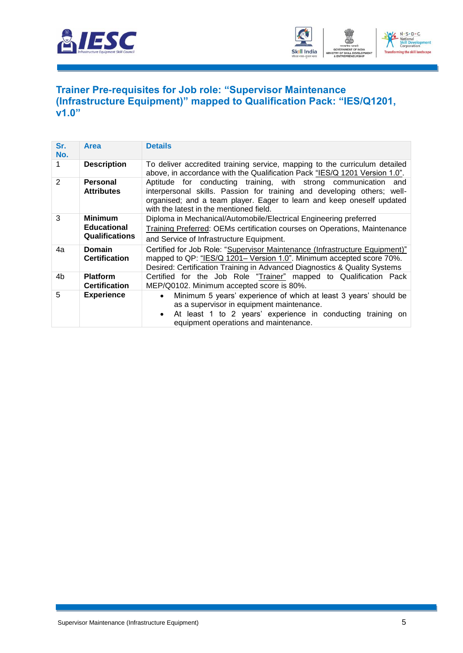



#### <span id="page-7-0"></span>**Trainer Pre-requisites for Job role: "Supervisor Maintenance (Infrastructure Equipment)" mapped to Qualification Pack: "IES/Q1201, v1.0"**

| Sr.<br>No.           | <b>Area</b>                             | <b>Details</b>                                                                                                                                                                                                                                                    |  |  |  |
|----------------------|-----------------------------------------|-------------------------------------------------------------------------------------------------------------------------------------------------------------------------------------------------------------------------------------------------------------------|--|--|--|
|                      | <b>Description</b>                      | To deliver accredited training service, mapping to the curriculum detailed<br>above, in accordance with the Qualification Pack "IES/Q 1201 Version 1.0".                                                                                                          |  |  |  |
| $\overline{2}$       | Personal<br><b>Attributes</b>           | Aptitude for conducting training, with strong communication<br>and<br>interpersonal skills. Passion for training and developing others; well-<br>organised; and a team player. Eager to learn and keep oneself updated<br>with the latest in the mentioned field. |  |  |  |
| 3                    | <b>Minimum</b>                          | Diploma in Mechanical/Automobile/Electrical Engineering preferred                                                                                                                                                                                                 |  |  |  |
|                      | <b>Educational</b>                      | <b>Training Preferred: OEMs certification courses on Operations, Maintenance</b>                                                                                                                                                                                  |  |  |  |
|                      | <b>Qualifications</b>                   | and Service of Infrastructure Equipment.                                                                                                                                                                                                                          |  |  |  |
| 4a                   | <b>Domain</b>                           | Certified for Job Role: "Supervisor Maintenance (Infrastructure Equipment)"                                                                                                                                                                                       |  |  |  |
| <b>Certification</b> |                                         | mapped to QP: "IES/Q 1201- Version 1.0". Minimum accepted score 70%.<br>Desired: Certification Training in Advanced Diagnostics & Quality Systems                                                                                                                 |  |  |  |
| 4b                   | <b>Platform</b><br><b>Certification</b> | Certified for the Job Role "Trainer" mapped to Qualification Pack<br>MEP/Q0102. Minimum accepted score is 80%.                                                                                                                                                    |  |  |  |
| 5                    | <b>Experience</b>                       | Minimum 5 years' experience of which at least 3 years' should be<br>$\bullet$                                                                                                                                                                                     |  |  |  |
|                      |                                         | as a supervisor in equipment maintenance.<br>At least 1 to 2 years' experience in conducting training on<br>$\bullet$                                                                                                                                             |  |  |  |
|                      |                                         | equipment operations and maintenance.                                                                                                                                                                                                                             |  |  |  |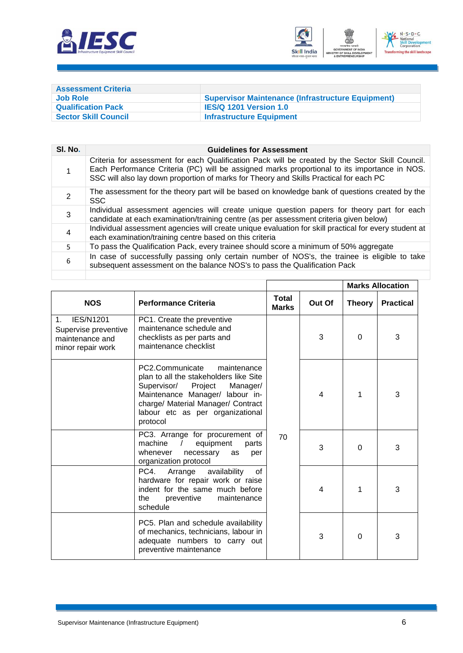



<span id="page-8-0"></span>

| <b>Assessment Criteria</b>  |                                                          |
|-----------------------------|----------------------------------------------------------|
| <b>Job Role</b>             | <b>Supervisor Maintenance (Infrastructure Equipment)</b> |
| <b>Qualification Pack</b>   | <b>IES/Q 1201 Version 1.0</b>                            |
| <b>Sector Skill Council</b> | <b>Infrastructure Equipment</b>                          |

| SI. No. | <b>Guidelines for Assessment</b>                                                                                                                                                                                                                                                           |
|---------|--------------------------------------------------------------------------------------------------------------------------------------------------------------------------------------------------------------------------------------------------------------------------------------------|
|         | Criteria for assessment for each Qualification Pack will be created by the Sector Skill Council.<br>Each Performance Criteria (PC) will be assigned marks proportional to its importance in NOS.<br>SSC will also lay down proportion of marks for Theory and Skills Practical for each PC |
| 2       | The assessment for the theory part will be based on knowledge bank of questions created by the<br><b>SSC</b>                                                                                                                                                                               |
| 3       | Individual assessment agencies will create unique question papers for theory part for each<br>candidate at each examination/training centre (as per assessment criteria given below)                                                                                                       |
| 4       | Individual assessment agencies will create unique evaluation for skill practical for every student at<br>each examination/training centre based on this criteria                                                                                                                           |
| 5       | To pass the Qualification Pack, every trainee should score a minimum of 50% aggregate                                                                                                                                                                                                      |
| 6       | In case of successfully passing only certain number of NOS's, the trainee is eligible to take<br>subsequent assessment on the balance NOS's to pass the Qualification Pack                                                                                                                 |
|         |                                                                                                                                                                                                                                                                                            |

|                                                                                        |                                                                                                                                                                                                                                      |                              |        |               | <b>Marks Allocation</b> |
|----------------------------------------------------------------------------------------|--------------------------------------------------------------------------------------------------------------------------------------------------------------------------------------------------------------------------------------|------------------------------|--------|---------------|-------------------------|
| <b>NOS</b>                                                                             | <b>Performance Criteria</b>                                                                                                                                                                                                          | <b>Total</b><br><b>Marks</b> | Out Of | <b>Theory</b> | <b>Practical</b>        |
| <b>IES/N1201</b><br>1.<br>Supervise preventive<br>maintenance and<br>minor repair work | PC1. Create the preventive<br>maintenance schedule and<br>checklists as per parts and<br>maintenance checklist                                                                                                                       |                              | 3      | $\Omega$      | 3                       |
|                                                                                        | PC2.Communicate<br>maintenance<br>plan to all the stakeholders like Site<br>Supervisor/ Project<br>Manager/<br>Maintenance Manager/ labour in-<br>charge/ Material Manager/ Contract<br>labour etc as per organizational<br>protocol |                              | 4      | 1             | 3                       |
|                                                                                        | PC3. Arrange for procurement of<br>machine $/$<br>equipment<br>parts<br>whenever<br>necessary<br>as<br>per<br>organization protocol                                                                                                  | 70                           | 3      | $\Omega$      | 3                       |
|                                                                                        | PC4.<br>availability<br>of<br>Arrange<br>hardware for repair work or raise<br>indent for the same much before<br>the<br>maintenance<br>preventive<br>schedule                                                                        |                              | 4      | 1             | 3                       |
|                                                                                        | PC5. Plan and schedule availability<br>of mechanics, technicians, labour in<br>adequate numbers to carry out<br>preventive maintenance                                                                                               |                              | 3      | $\Omega$      | 3                       |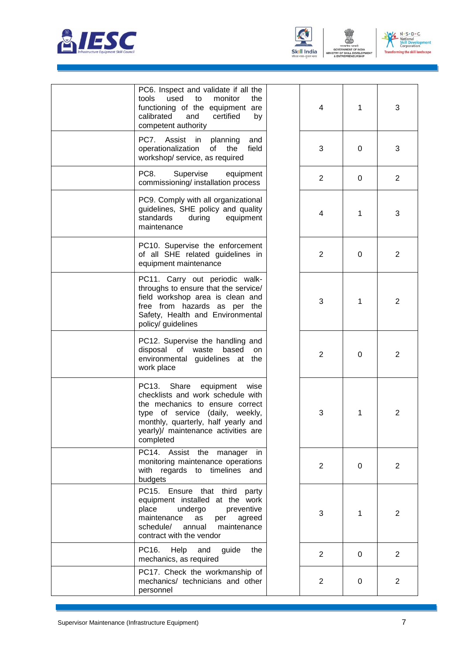





| PC6. Inspect and validate if all the<br>used<br>tools<br>to<br>monitor<br>the<br>functioning of the equipment are<br>calibrated<br>and<br>certified<br>by<br>competent authority                                                          | 4              | 1        | 3              |
|-------------------------------------------------------------------------------------------------------------------------------------------------------------------------------------------------------------------------------------------|----------------|----------|----------------|
| PC7.<br>Assist<br>planning<br>in<br>and<br>operationalization<br>of<br>field<br>the<br>workshop/ service, as required                                                                                                                     | 3              | 0        | 3              |
| PC8.<br>Supervise<br>equipment<br>commissioning/ installation process                                                                                                                                                                     | 2              | $\Omega$ | 2              |
| PC9. Comply with all organizational<br>guidelines, SHE policy and quality<br>standards<br>during<br>equipment<br>maintenance                                                                                                              | 4              | 1        | 3              |
| PC10. Supervise the enforcement<br>of all SHE related guidelines in<br>equipment maintenance                                                                                                                                              | $\overline{2}$ | 0        | 2              |
| PC11. Carry out periodic walk-<br>throughs to ensure that the service/<br>field workshop area is clean and<br>free from hazards as per the<br>Safety, Health and Environmental<br>policy/ guidelines                                      | 3              | 1        | $\overline{2}$ |
| PC12. Supervise the handling and<br>disposal of<br>waste<br>based<br>on.<br>environmental guidelines at the<br>work place                                                                                                                 | 2              | $\Omega$ | 2              |
| PC13.<br>Share<br>equipment<br>wise<br>checklists and work schedule with<br>the mechanics to ensure correct<br>type of service (daily, weekly,<br>monthly, quarterly, half yearly and<br>yearly)/ maintenance activities are<br>completed | 3              | 1        | $\overline{2}$ |
| PC14. Assist the manager<br>in.<br>monitoring maintenance operations<br>with regards to timelines and<br>budgets                                                                                                                          | $\overline{2}$ | 0        | 2              |
| PC15. Ensure that third party<br>equipment installed at the work<br>place<br>undergo<br>preventive<br>maintenance<br>as<br>agreed<br>per<br>schedule/<br>annual<br>maintenance<br>contract with the vendor                                | 3              | 1        | $\overline{2}$ |
| PC16. Help and<br>guide<br>the<br>mechanics, as required                                                                                                                                                                                  | 2              | 0        | 2              |
| PC17. Check the workmanship of<br>mechanics/ technicians and other<br>personnel                                                                                                                                                           | 2              | 0        | $\overline{2}$ |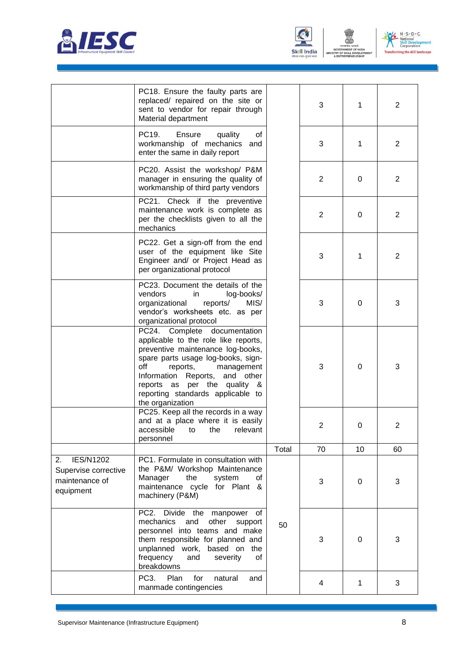





|                                                                               | PC18. Ensure the faulty parts are<br>replaced/ repaired on the site or<br>sent to vendor for repair through<br>Material department                                                                                                                                                                                |       | 3              | 1  | $\overline{2}$ |
|-------------------------------------------------------------------------------|-------------------------------------------------------------------------------------------------------------------------------------------------------------------------------------------------------------------------------------------------------------------------------------------------------------------|-------|----------------|----|----------------|
|                                                                               | PC19.<br>Ensure<br>quality<br>οf<br>workmanship of mechanics<br>and<br>enter the same in daily report                                                                                                                                                                                                             |       | 3              | 1  | 2              |
|                                                                               | PC20. Assist the workshop/ P&M<br>manager in ensuring the quality of<br>workmanship of third party vendors                                                                                                                                                                                                        |       | $\overline{2}$ | 0  | 2              |
|                                                                               | PC21. Check if the preventive<br>maintenance work is complete as<br>per the checklists given to all the<br>mechanics                                                                                                                                                                                              |       | $\overline{2}$ | 0  | 2              |
|                                                                               | PC22. Get a sign-off from the end<br>user of the equipment like Site<br>Engineer and/ or Project Head as<br>per organizational protocol                                                                                                                                                                           |       | 3              | 1  | 2              |
|                                                                               | PC23. Document the details of the<br>vendors<br>log-books/<br>in<br>organizational<br>MIS/<br>reports/<br>vendor's worksheets etc. as per<br>organizational protocol                                                                                                                                              |       | 3              | 0  | 3              |
|                                                                               | PC24.<br>Complete documentation<br>applicable to the role like reports,<br>preventive maintenance log-books,<br>spare parts usage log-books, sign-<br>off<br>reports,<br>management<br>Information<br>Reports, and other<br>reports as per the quality &<br>reporting standards applicable to<br>the organization |       | 3              | 0  | 3              |
|                                                                               | PC25. Keep all the records in a way<br>and at a place where it is easily<br>accessible to the relevant<br>personnel                                                                                                                                                                                               |       | $\overline{2}$ | 0  | $\overline{2}$ |
|                                                                               |                                                                                                                                                                                                                                                                                                                   | Total | 70             | 10 | 60             |
| <b>IES/N1202</b><br>2.<br>Supervise corrective<br>maintenance of<br>equipment | PC1. Formulate in consultation with<br>the P&M/ Workshop Maintenance<br>Manager<br>the<br>system<br>οf<br>maintenance cycle for Plant &<br>machinery (P&M)                                                                                                                                                        |       | 3              | 0  | 3              |
|                                                                               | Divide the<br>PC2.<br>manpower<br>of<br>mechanics<br>and<br>other<br>support<br>personnel into teams and make<br>them responsible for planned and<br>unplanned work, based on<br>the<br>frequency<br>and<br>severity<br>0f<br>breakdowns                                                                          | 50    | 3              | 0  | 3              |
|                                                                               | PC <sub>3</sub> .<br>Plan<br>for<br>natural<br>and<br>manmade contingencies                                                                                                                                                                                                                                       |       | 4              | 1  | 3              |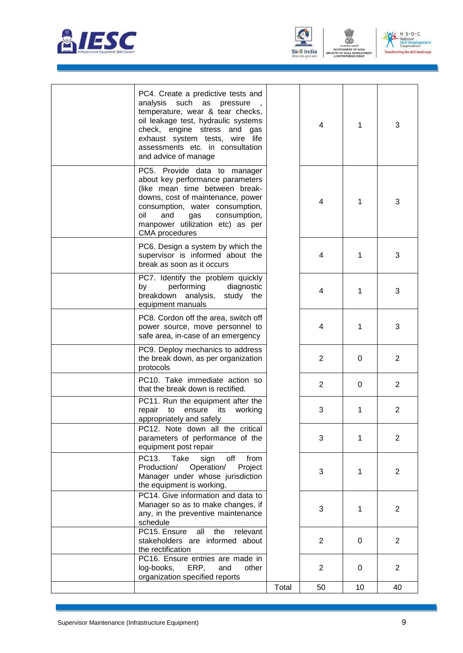





| PC4. Create a predictive tests and<br>analysis such as pressure,<br>temperature, wear & tear checks,<br>oil leakage test, hydraulic systems<br>check, engine stress and gas<br>exhaust system tests, wire life<br>assessments etc. in consultation<br>and advice of manage   |       | 4              | 1  | 3              |
|------------------------------------------------------------------------------------------------------------------------------------------------------------------------------------------------------------------------------------------------------------------------------|-------|----------------|----|----------------|
| PC5. Provide data to manager<br>about key performance parameters<br>(like mean time between break-<br>downs, cost of maintenance, power<br>consumption, water consumption,<br>oil<br>and<br>gas<br>consumption,<br>manpower utilization etc) as per<br><b>CMA</b> procedures |       | $\overline{4}$ | 1  | 3              |
| PC6. Design a system by which the<br>supervisor is informed about the<br>break as soon as it occurs                                                                                                                                                                          |       | $\overline{4}$ | 1  | 3              |
| PC7. Identify the problem quickly<br>performing<br>diagnostic<br>by<br>breakdown analysis,<br>study the<br>equipment manuals                                                                                                                                                 |       | 4              | 1  | 3              |
| PC8. Cordon off the area, switch off<br>power source, move personnel to<br>safe area, in-case of an emergency                                                                                                                                                                |       | 4              | 1  | 3              |
| PC9. Deploy mechanics to address<br>the break down, as per organization<br>protocols                                                                                                                                                                                         |       | 2              | 0  | 2              |
| PC10. Take immediate action so<br>that the break down is rectified.                                                                                                                                                                                                          |       | 2              | 0  | 2              |
| PC11. Run the equipment after the<br>repair<br>to ensure its working<br>appropriately and safely                                                                                                                                                                             |       | 3              | 1  | 2              |
| PC12. Note down all the critical<br>parameters of performance of the<br>equipment post repair                                                                                                                                                                                |       | 3              | 1  | $\overline{2}$ |
| Take<br>PC13.<br>off<br>from<br>sign<br>Production/<br>Operation/<br>Project<br>Manager under whose jurisdiction<br>the equipment is working.                                                                                                                                |       | 3              | 1  | 2              |
| PC14. Give information and data to<br>Manager so as to make changes, if<br>any, in the preventive maintenance<br>schedule                                                                                                                                                    |       | 3              | 1  | 2              |
| PC15. Ensure<br>the<br>all<br>relevant<br>stakeholders are informed about<br>the rectification                                                                                                                                                                               |       | 2              | 0  | 2              |
| PC16. Ensure entries are made in<br>log-books,<br>ERP,<br>and<br>other<br>organization specified reports                                                                                                                                                                     |       | 2              | 0  | 2              |
|                                                                                                                                                                                                                                                                              | Total | 50             | 10 | 40             |